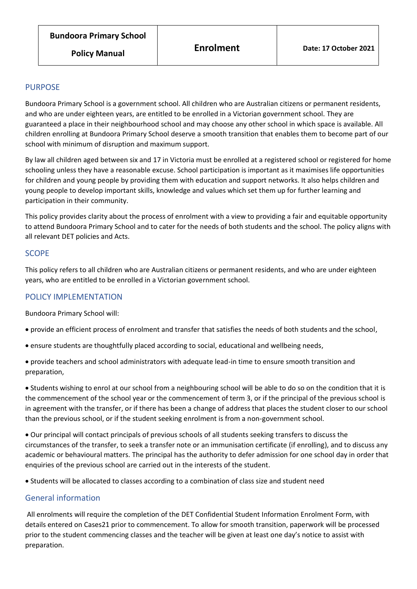# PURPOSE

Bundoora Primary School is a government school. All children who are Australian citizens or permanent residents, and who are under eighteen years, are entitled to be enrolled in a Victorian government school. They are guaranteed a place in their neighbourhood school and may choose any other school in which space is available. All children enrolling at Bundoora Primary School deserve a smooth transition that enables them to become part of our school with minimum of disruption and maximum support.

By law all children aged between six and 17 in Victoria must be enrolled at a registered school or registered for home schooling unless they have a reasonable excuse. School participation is important as it maximises life opportunities for children and young people by providing them with education and support networks. It also helps children and young people to develop important skills, knowledge and values which set them up for further learning and participation in their community.

This policy provides clarity about the process of enrolment with a view to providing a fair and equitable opportunity to attend Bundoora Primary School and to cater for the needs of both students and the school. The policy aligns with all relevant DET policies and Acts.

## **SCOPE**

This policy refers to all children who are Australian citizens or permanent residents, and who are under eighteen years, who are entitled to be enrolled in a Victorian government school.

# POLICY IMPLEMENTATION

Bundoora Primary School will:

- provide an efficient process of enrolment and transfer that satisfies the needs of both students and the school,
- ensure students are thoughtfully placed according to social, educational and wellbeing needs,
- provide teachers and school administrators with adequate lead-in time to ensure smooth transition and preparation,

• Students wishing to enrol at our school from a neighbouring school will be able to do so on the condition that it is the commencement of the school year or the commencement of term 3, or if the principal of the previous school is in agreement with the transfer, or if there has been a change of address that places the student closer to our school than the previous school, or if the student seeking enrolment is from a non-government school.

• Our principal will contact principals of previous schools of all students seeking transfers to discuss the circumstances of the transfer, to seek a transfer note or an immunisation certificate (if enrolling), and to discuss any academic or behavioural matters. The principal has the authority to defer admission for one school day in order that enquiries of the previous school are carried out in the interests of the student.

• Students will be allocated to classes according to a combination of class size and student need

# General information

All enrolments will require the completion of the DET Confidential Student Information Enrolment Form, with details entered on Cases21 prior to commencement. To allow for smooth transition, paperwork will be processed prior to the student commencing classes and the teacher will be given at least one day's notice to assist with preparation.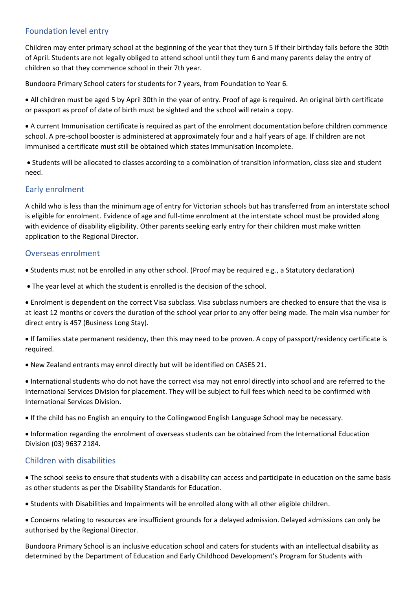## Foundation level entry

Children may enter primary school at the beginning of the year that they turn 5 if their birthday falls before the 30th of April. Students are not legally obliged to attend school until they turn 6 and many parents delay the entry of children so that they commence school in their 7th year.

Bundoora Primary School caters for students for 7 years, from Foundation to Year 6.

• All children must be aged 5 by April 30th in the year of entry. Proof of age is required. An original birth certificate or passport as proof of date of birth must be sighted and the school will retain a copy.

• A current Immunisation certificate is required as part of the enrolment documentation before children commence school. A pre-school booster is administered at approximately four and a half years of age. If children are not immunised a certificate must still be obtained which states Immunisation Incomplete.

• Students will be allocated to classes according to a combination of transition information, class size and student need.

#### Early enrolment

A child who is less than the minimum age of entry for Victorian schools but has transferred from an interstate school is eligible for enrolment. Evidence of age and full-time enrolment at the interstate school must be provided along with evidence of disability eligibility. Other parents seeking early entry for their children must make written application to the Regional Director.

#### Overseas enrolment

• Students must not be enrolled in any other school. (Proof may be required e.g., a Statutory declaration)

• The year level at which the student is enrolled is the decision of the school.

• Enrolment is dependent on the correct Visa subclass. Visa subclass numbers are checked to ensure that the visa is at least 12 months or covers the duration of the school year prior to any offer being made. The main visa number for direct entry is 457 (Business Long Stay).

• If families state permanent residency, then this may need to be proven. A copy of passport/residency certificate is required.

• New Zealand entrants may enrol directly but will be identified on CASES 21.

• International students who do not have the correct visa may not enrol directly into school and are referred to the International Services Division for placement. They will be subject to full fees which need to be confirmed with International Services Division.

• If the child has no English an enquiry to the Collingwood English Language School may be necessary.

• Information regarding the enrolment of overseas students can be obtained from the International Education Division (03) 9637 2184.

## Children with disabilities

• The school seeks to ensure that students with a disability can access and participate in education on the same basis as other students as per the Disability Standards for Education.

• Students with Disabilities and Impairments will be enrolled along with all other eligible children.

• Concerns relating to resources are insufficient grounds for a delayed admission. Delayed admissions can only be authorised by the Regional Director.

Bundoora Primary School is an inclusive education school and caters for students with an intellectual disability as determined by the Department of Education and Early Childhood Development's Program for Students with